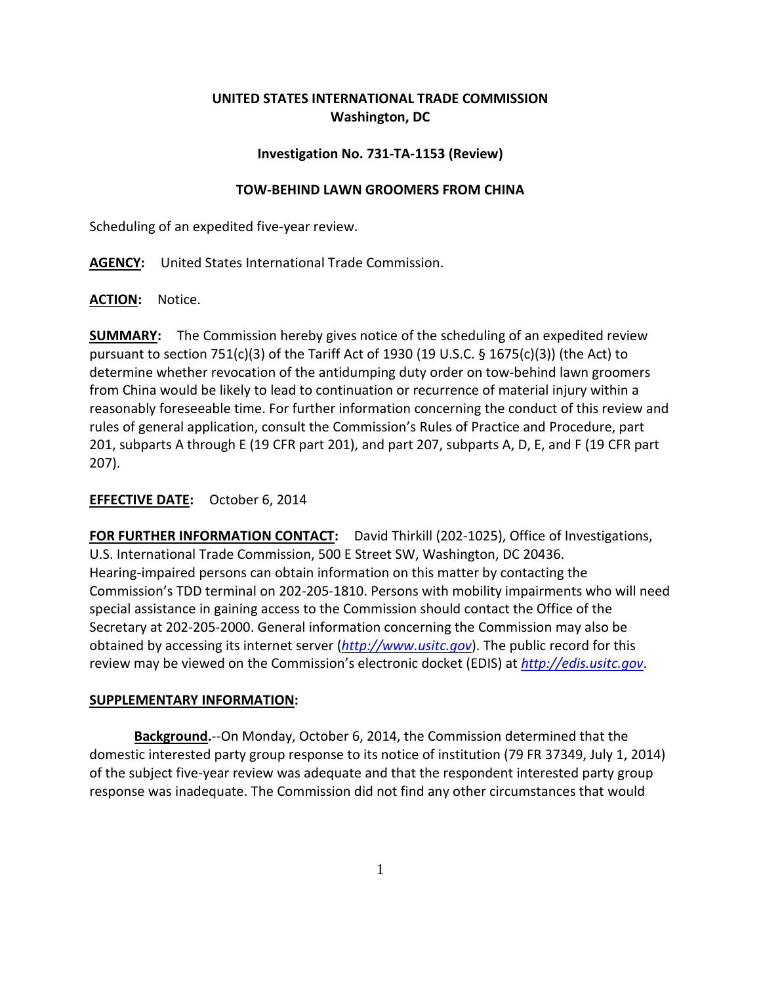# **UNITED STATES INTERNATIONAL TRADE COMMISSION Washington, DC**

### **Investigation No. 731-TA-1153 (Review)**

#### **TOW-BEHIND LAWN GROOMERS FROM CHINA**

Scheduling of an expedited five-year review.

**AGENCY:** United States International Trade Commission.

**ACTION:** Notice.

**SUMMARY:** The Commission hereby gives notice of the scheduling of an expedited review pursuant to section 751(c)(3) of the Tariff Act of 1930 (19 U.S.C.  $\S$  1675(c)(3)) (the Act) to determine whether revocation of the antidumping duty order on tow-behind lawn groomers from China would be likely to lead to continuation or recurrence of material injury within a reasonably foreseeable time. For further information concerning the conduct of this review and rules of general application, consult the Commission's Rules of Practice and Procedure, part 201, subparts A through E (19 CFR part 201), and part 207, subparts A, D, E, and F (19 CFR part 207).

## **EFFECTIVE DATE:** October 6, 2014

**FOR FURTHER INFORMATION CONTACT:** David Thirkill (202-1025), Office of Investigations, U.S. International Trade Commission, 500 E Street SW, Washington, DC 20436. Hearing-impaired persons can obtain information on this matter by contacting the Commission's TDD terminal on 202-205-1810. Persons with mobility impairments who will need special assistance in gaining access to the Commission should contact the Office of the Secretary at 202-205-2000. General information concerning the Commission may also be obtained by accessing its internet server (*[http://www.usitc.gov](http://www.usitc.gov/)*). The public record for this review may be viewed on the Commission's electronic docket (EDIS) at *[http://edis.usitc.gov](http://edis.usitc.gov/)*.

#### **SUPPLEMENTARY INFORMATION:**

**Background.**--On Monday, October 6, 2014, the Commission determined that the domestic interested party group response to its notice of institution (79 FR 37349, July 1, 2014) of the subject five-year review was adequate and that the respondent interested party group response was inadequate. The Commission did not find any other circumstances that would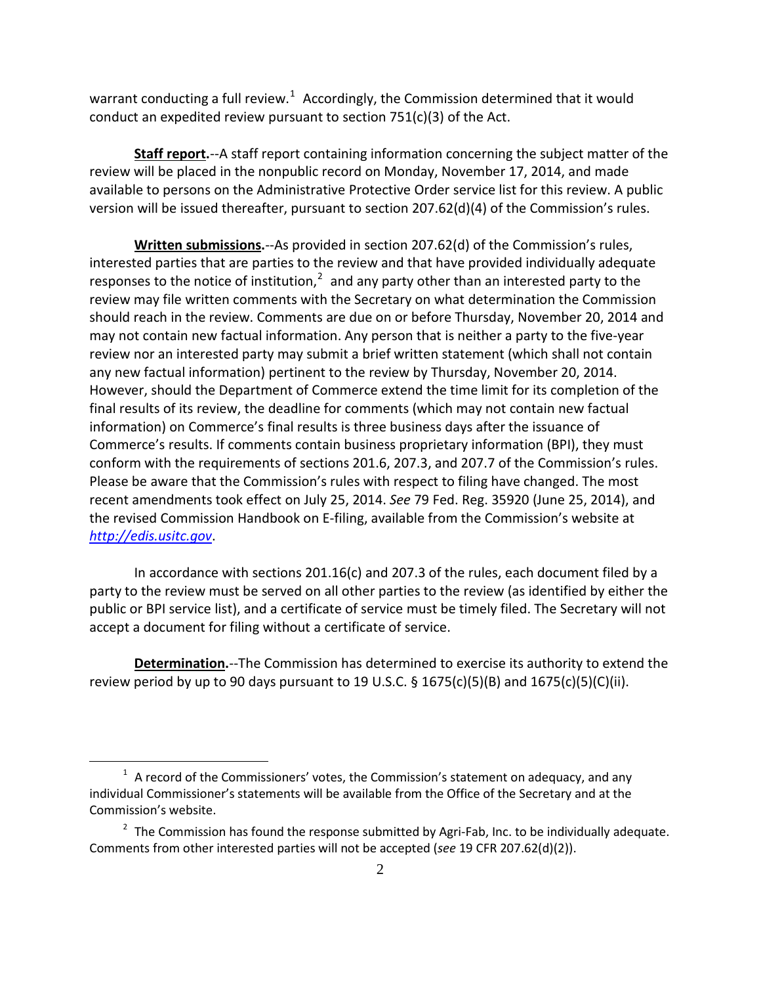warrant conducting a full review.<sup>[1](#page-1-0)</sup> Accordingly, the Commission determined that it would conduct an expedited review pursuant to section 751(c)(3) of the Act.

**Staff report.**--A staff report containing information concerning the subject matter of the review will be placed in the nonpublic record on Monday, November 17, 2014, and made available to persons on the Administrative Protective Order service list for this review. A public version will be issued thereafter, pursuant to section 207.62(d)(4) of the Commission's rules.

**Written submissions.**--As provided in section 207.62(d) of the Commission's rules, interested parties that are parties to the review and that have provided individually adequate responses to the notice of institution, $2$  and any party other than an interested party to the review may file written comments with the Secretary on what determination the Commission should reach in the review. Comments are due on or before Thursday, November 20, 2014 and may not contain new factual information. Any person that is neither a party to the five-year review nor an interested party may submit a brief written statement (which shall not contain any new factual information) pertinent to the review by Thursday, November 20, 2014. However, should the Department of Commerce extend the time limit for its completion of the final results of its review, the deadline for comments (which may not contain new factual information) on Commerce's final results is three business days after the issuance of Commerce's results. If comments contain business proprietary information (BPI), they must conform with the requirements of sections 201.6, 207.3, and 207.7 of the Commission's rules. Please be aware that the Commission's rules with respect to filing have changed. The most recent amendments took effect on July 25, 2014. *See* 79 Fed. Reg. 35920 (June 25, 2014), and the revised Commission Handbook on E-filing, available from the Commission's website at *[http://edis.usitc.gov](http://edis.usitc.gov/)*.

In accordance with sections 201.16(c) and 207.3 of the rules, each document filed by a party to the review must be served on all other parties to the review (as identified by either the public or BPI service list), and a certificate of service must be timely filed. The Secretary will not accept a document for filing without a certificate of service.

**Determination.**--The Commission has determined to exercise its authority to extend the review period by up to 90 days pursuant to 19 U.S.C.  $\S$  1675(c)(5)(B) and 1675(c)(5)(C)(ii).

 $\overline{a}$ 

<span id="page-1-0"></span> $1$  A record of the Commissioners' votes, the Commission's statement on adequacy, and any individual Commissioner's statements will be available from the Office of the Secretary and at the Commission's website.

<span id="page-1-1"></span> $2\pi$  The Commission has found the response submitted by Agri-Fab, Inc. to be individually adequate. Comments from other interested parties will not be accepted (*see* 19 CFR 207.62(d)(2)).